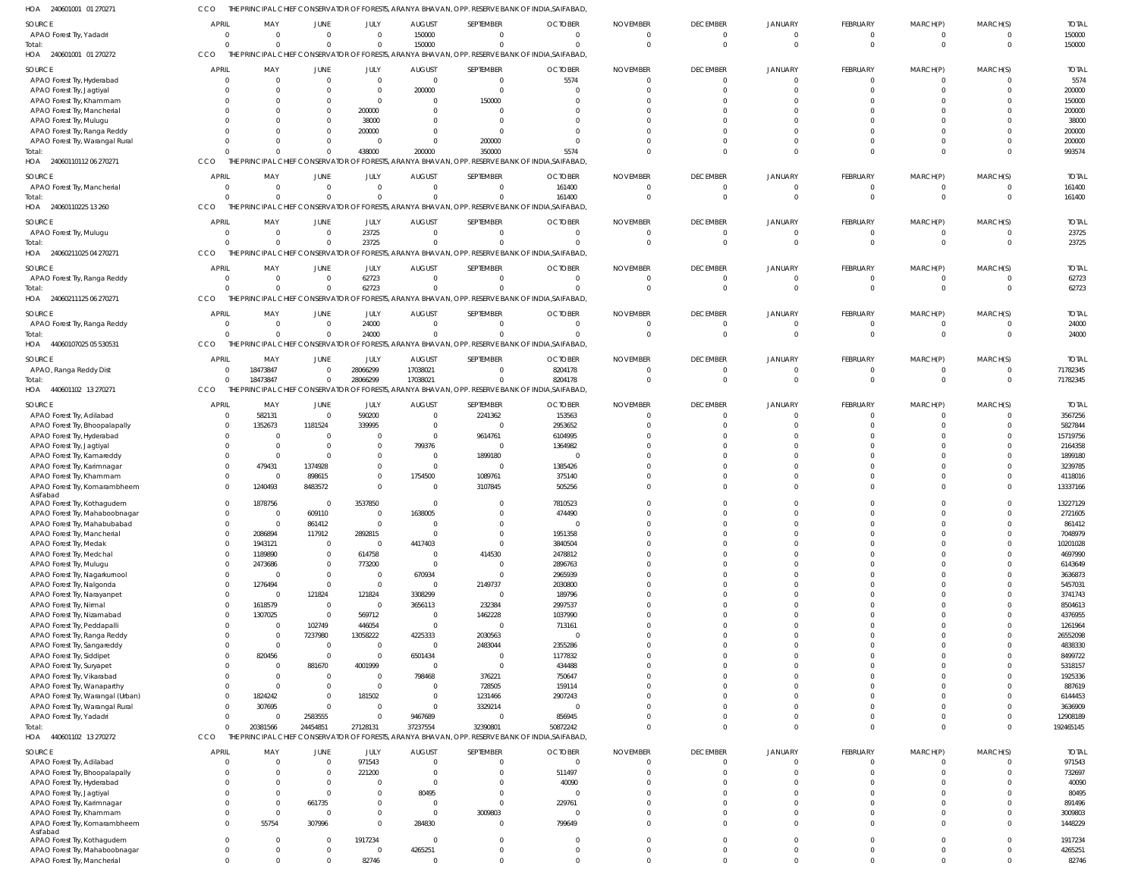CCO THE PRINCIPAL CHIEF CONSERVATOR OF FORESTS, ARANYA BHAVAN, OPP. RESERVE BANK OF INDIA,SAIFABAD,

|                                                               |                      |                      |                            |                         |                        |                      | PRINCIPAL CHIEF CONSERVATOR OF FORESTS, ARANYA BHAVAN, OPP. RESERVE BANK OF INDIA,SAIFABAD       |                 |                         |                            |                            |                      |                      |                  |
|---------------------------------------------------------------|----------------------|----------------------|----------------------------|-------------------------|------------------------|----------------------|--------------------------------------------------------------------------------------------------|-----------------|-------------------------|----------------------------|----------------------------|----------------------|----------------------|------------------|
| SOURCE                                                        | <b>APRIL</b>         | MAY                  | <b>JUNE</b>                | JULY                    | <b>AUGUST</b>          | SEPTEMBER            | <b>OCTOBER</b>                                                                                   | <b>NOVEMBER</b> | <b>DECEMBER</b>         | <b>JANUARY</b>             | FEBRUARY                   | MARCH(P)             | MARCH(S)             | <b>TOTAL</b>     |
| APAO Forest Try, Yadadri                                      | $\Omega$             | $\Omega$             | $\overline{0}$             | $\mathbf{0}$            | 150000                 | $\Omega$             | $\Omega$                                                                                         | $\Omega$        | $\mathbf 0$             | $\overline{0}$             | $\overline{0}$             | $\mathbf 0$          | $\Omega$             | 150000           |
| Total:                                                        | $\Omega$             | $\Omega$             | $\overline{0}$             | $\overline{0}$          | 150000                 | $\Omega$             | $\Omega$                                                                                         | $\Omega$        | $\mathbf 0$             | $\Omega$                   | $\mathbf 0$                | $\overline{0}$       | $\Omega$             | 150000           |
| 240601001 01 270272<br>HOA                                    | CCO                  |                      |                            |                         |                        |                      | THE PRINCIPAL CHIEF CONSERVATOR OF FORESTS, ARANYA BHAVAN, OPP. RESERVE BANK OF INDIA, SAIFABAD, |                 |                         |                            |                            |                      |                      |                  |
|                                                               |                      |                      |                            |                         |                        |                      |                                                                                                  |                 |                         |                            |                            |                      |                      |                  |
| SOURCE                                                        | APRIL                | MAY                  | <b>JUNE</b>                | JULY                    | <b>AUGUST</b>          | SEPTEMBER            | <b>OCTOBER</b>                                                                                   | <b>NOVEMBER</b> | <b>DECEMBER</b>         | JANUARY                    | <b>FEBRUARY</b>            | MARCH(P)             | MARCH(S)             | <b>TOTAI</b>     |
| APAO Forest Try, Hyderabad                                    |                      | $\Omega$             | $\overline{0}$             | $\overline{0}$          | $\mathbf 0$            | $\mathbf 0$          | 5574                                                                                             |                 | $\mathbf 0$             | $\overline{0}$             | $\overline{0}$             | $\mathbf 0$          | $\Omega$             | 5574             |
| APAO Forest Try, Jagtiyal                                     |                      | 0                    | $\overline{0}$             | $\overline{0}$          | 200000                 | $\mathbf 0$          | $\Omega$                                                                                         |                 | $\Omega$                | $\Omega$                   | $\mathbf{0}$               | $\Omega$             | $\Omega$             | 200000           |
| APAO Forest Try, Khammam                                      |                      |                      | $\overline{0}$             | $\overline{0}$          | $\Omega$               | 150000               | $\Omega$                                                                                         |                 |                         |                            | $\Omega$                   |                      | $\Omega$             | 150000           |
| APAO Forest Try, Mancherial                                   |                      | <sup>0</sup>         | $\overline{0}$             | 200000                  | 0                      | $\Omega$             |                                                                                                  |                 |                         |                            | $\Omega$                   |                      | $\cap$               | 200000           |
| APAO Forest Try, Mulugu                                       |                      |                      | $\Omega$                   | 38000                   |                        | $\Omega$             |                                                                                                  |                 |                         |                            | $\Omega$                   |                      | $\cap$               | 38000            |
| APAO Forest Try, Ranga Reddy                                  |                      | 0                    | $\overline{0}$             | 200000                  | 0                      | $\Omega$             | <sup>0</sup>                                                                                     |                 |                         |                            | $\Omega$                   |                      | $\Omega$             | 200000           |
| APAO Forest Try, Warangal Rural                               |                      |                      | $\Omega$                   | $\mathbf{0}$            | $\Omega$               | 200000               | $\Omega$                                                                                         |                 |                         |                            | $\Omega$                   | $\Omega$             | $\Omega$             | 200000           |
| Total:                                                        |                      |                      | $\overline{0}$             | 438000                  | 200000                 | 350000               | 5574                                                                                             |                 | $\Omega$                | $\Omega$                   | $\Omega$                   | $\Omega$             | $\Omega$             | 993574           |
| HOA<br>24060110112 06 270271                                  | CCO                  |                      |                            |                         |                        |                      | THE PRINCIPAL CHIEF CONSERVATOR OF FORESTS, ARANYA BHAVAN, OPP. RESERVE BANK OF INDIA, SAIFABAD  |                 |                         |                            |                            |                      |                      |                  |
|                                                               |                      |                      |                            |                         |                        |                      |                                                                                                  |                 |                         |                            |                            |                      |                      |                  |
| SOURCE                                                        | <b>APRIL</b>         | MAY                  | <b>JUNE</b>                | JULY                    | <b>AUGUST</b>          | SEPTEMBER            | <b>OCTOBER</b>                                                                                   | <b>NOVEMBER</b> | <b>DECEMBER</b>         | JANUARY                    | <b>FEBRUARY</b>            | MARCH(P)             | MARCH(S)             | <b>TOTAL</b>     |
| APAO Forest Try, Mancherial                                   | $\Omega$             | $\overline{0}$       | $\overline{0}$             | $\mathbf{0}$            | $\mathbf 0$            | $\Omega$             | 161400                                                                                           | $\Omega$        | $\mathbf 0$             | $\Omega$                   | $\overline{0}$             | 0                    | $\Omega$             | 161400           |
| Total:                                                        |                      |                      | $\Omega$                   | $\mathbf 0$             | $\Omega$               | $\Omega$             | 161400                                                                                           |                 | $\Omega$                | $\Omega$                   | $\overline{0}$             | $\mathbf 0$          | $\Omega$             | 161400           |
| HOA 24060110225 13 260                                        | CCO                  |                      |                            |                         |                        |                      | THE PRINCIPAL CHIEF CONSERVATOR OF FORESTS, ARANYA BHAVAN, OPP. RESERVE BANK OF INDIA, SAIFABAD  |                 |                         |                            |                            |                      |                      |                  |
| SOURCE                                                        | <b>APRIL</b>         | MAY                  | <b>JUNE</b>                | JULY                    | <b>AUGUST</b>          | SEPTEMBER            | <b>OCTOBER</b>                                                                                   | <b>NOVEMBER</b> | <b>DECEMBER</b>         | JANUARY                    | FEBRUARY                   | MARCH(P)             | MARCH(S)             | <b>TOTAL</b>     |
|                                                               |                      |                      | $\overline{0}$             |                         | $\mathbf 0$            |                      |                                                                                                  |                 |                         | $\Omega$                   |                            |                      | $\Omega$             |                  |
| APAO Forest Try, Mulugu                                       |                      | $\overline{0}$       |                            | 23725                   |                        | $\mathbf 0$          | $\overline{0}$                                                                                   |                 | $\mathbf 0$             |                            | $\overline{0}$             | $\mathbf 0$          |                      | 23725            |
| Total:                                                        |                      | $\Omega$             | $\overline{0}$             | 23725                   | $\Omega$               | $\Omega$             | $\Omega$                                                                                         |                 | $\Omega$                | $\Omega$                   | $\mathbf 0$                | $\mathbf 0$          | $\Omega$             | 23725            |
| HOA 24060211025 04 270271                                     | CCO                  |                      |                            |                         |                        |                      | THE PRINCIPAL CHIEF CONSERVATOR OF FORESTS, ARANYA BHAVAN, OPP. RESERVE BANK OF INDIA, SAIFABAD  |                 |                         |                            |                            |                      |                      |                  |
| SOURCE                                                        | <b>APRIL</b>         | MAY                  | <b>JUNE</b>                | JULY                    | <b>AUGUST</b>          | SEPTEMBER            | <b>OCTOBER</b>                                                                                   | <b>NOVEMBER</b> | <b>DECEMBER</b>         | JANUARY                    | FEBRUARY                   | MARCH(P)             | MARCH(S)             | <b>TOTAL</b>     |
| APAO Forest Try, Ranga Reddy                                  | $\Omega$             | $\Omega$             | $\overline{0}$             | 62723                   | $\Omega$               | $\Omega$             | $\Omega$                                                                                         |                 | $\mathbf 0$             | $\overline{0}$             | $\overline{0}$             | $\mathbf 0$          | $\Omega$             | 62723            |
| Total                                                         | $\cap$               | $\Omega$             | $\overline{0}$             | 62723                   | $\Omega$               | $\Omega$             | $\Omega$                                                                                         | $\Omega$        | $\Omega$                | $\Omega$                   | $\mathbf 0$                | $\mathbf 0$          | $\Omega$             | 62723            |
| 24060211125 06 270271<br>HOA                                  | CCO                  |                      |                            |                         |                        |                      | THE PRINCIPAL CHIEF CONSERVATOR OF FORESTS, ARANYA BHAVAN, OPP. RESERVE BANK OF INDIA, SAIFABAD  |                 |                         |                            |                            |                      |                      |                  |
|                                                               |                      |                      |                            |                         |                        |                      |                                                                                                  |                 |                         |                            |                            |                      |                      |                  |
| SOURCE                                                        | <b>APRIL</b>         | MAY                  | JUNE                       | JULY                    | <b>AUGUST</b>          | SEPTEMBER            | <b>OCTOBER</b>                                                                                   | <b>NOVEMBER</b> | <b>DECEMBER</b>         | JANUARY                    | FEBRUARY                   | MARCH(P)             | MARCH(S)             | <b>TOTAL</b>     |
| APAO Forest Try, Ranga Reddy                                  |                      | $\mathbf{0}$         | $\overline{0}$             | 24000                   | $\mathbf 0$            | $\Omega$             | $\overline{0}$                                                                                   | $\Omega$        | $\mathbf 0$             | $\overline{0}$             | $\overline{0}$             | $\overline{0}$       | $\Omega$             | 24000            |
| Total:                                                        |                      | $\Omega$             | $\Omega$                   | 24000                   | $\Omega$               |                      | $\Omega$                                                                                         |                 | $\Omega$                | $\Omega$                   | $\overline{0}$             | $\mathbf 0$          | $\Omega$             | 24000            |
| 44060107025 05 530531<br>HOA                                  | CCO                  |                      |                            |                         |                        |                      | THE PRINCIPAL CHIEF CONSERVATOR OF FORESTS, ARANYA BHAVAN, OPP. RESERVE BANK OF INDIA, SAIFABAD  |                 |                         |                            |                            |                      |                      |                  |
|                                                               |                      |                      |                            |                         |                        |                      |                                                                                                  |                 |                         |                            |                            |                      |                      |                  |
| SOURCE                                                        | <b>APRIL</b>         | MAY                  | JUNE                       | JULY                    | <b>AUGUST</b>          | SEPTEMBER            | <b>OCTOBER</b>                                                                                   | <b>NOVEMBER</b> | <b>DECEMBER</b>         | JANUARY                    | FEBRUARY                   | MARCH(P)             | MARCH(S)             | <b>TOTAL</b>     |
| APAO, Ranga Reddy Dist                                        | $\Omega$             | 18473847             | $\overline{0}$             | 28066299                | 17038021               | $\Omega$             | 8204178                                                                                          |                 | $\mathbf 0$             | $\Omega$                   | $\overline{0}$             | $\Omega$             | $\Omega$             | 71782345         |
| Total:                                                        | $\Omega$             | 18473847             | $\overline{0}$             | 28066299                | 17038021               | $\Omega$             | 8204178                                                                                          | $\Omega$        | $\Omega$                | $\Omega$                   | $\mathbf 0$                | $\overline{0}$       | $\Omega$             | 71782345         |
| 440601102 13 270271<br>HOA                                    | CCO                  |                      |                            |                         |                        |                      | THE PRINCIPAL CHIEF CONSERVATOR OF FORESTS, ARANYA BHAVAN, OPP. RESERVE BANK OF INDIA, SAIFABAD  |                 |                         |                            |                            |                      |                      |                  |
| SOURCE                                                        | <b>APRIL</b>         | MAY                  | <b>JUNE</b>                | JULY                    | <b>AUGUST</b>          | SEPTEMBER            | <b>OCTOBER</b>                                                                                   | <b>NOVEMBER</b> | <b>DECEMBER</b>         | JANUARY                    | FEBRUARY                   | MARCH(P)             | MARCH(S)             | <b>TOTAL</b>     |
| APAO Forest Try, Adilabad                                     |                      | 582131               | $\overline{0}$             | 590200                  | $\mathbf 0$            | 2241362              | 153563                                                                                           |                 | $\mathbf 0$             | $\Omega$                   | $\overline{0}$             | $\mathbf 0$          | $\Omega$             | 3567256          |
| APAO Forest Try, Bhoopalapally                                |                      | 1352673              | 1181524                    | 339995                  | $\mathbf 0$            | $\mathbf 0$          | 2953652                                                                                          |                 | $\Omega$                |                            | $\Omega$                   | $\Omega$             | $\cap$               | 5827844          |
| APAO Forest Try, Hyderabad                                    |                      |                      | $\overline{0}$             | $\overline{0}$          | $\mathbf 0$            | 9614761              | 6104995                                                                                          |                 |                         |                            | $\Omega$                   |                      | $\Omega$             | 15719756         |
| APAO Forest Try, Jagtiyal                                     |                      | $\Omega$             | $\overline{0}$             | $\overline{0}$          | 799376                 | $\mathbf 0$          | 1364982                                                                                          |                 |                         |                            | $\Omega$                   |                      | $\cap$               | 2164358          |
| APAO Forest Try, Kamareddy                                    |                      | $\overline{0}$       | $\overline{0}$             | $\overline{0}$          | $\mathbf 0$            | 1899180              | $\Omega$                                                                                         |                 |                         |                            | $\Omega$                   |                      | $\cap$               | 1899180          |
|                                                               |                      | 479431               | 1374928                    | $\mathbf 0$             | $\mathbf 0$            | $\Omega$             | 1385426                                                                                          |                 |                         |                            | $\Omega$                   |                      | $\Omega$             | 3239785          |
| APAO Forest Try, Karimnagar                                   |                      |                      |                            |                         |                        |                      |                                                                                                  |                 |                         |                            | $\Omega$                   |                      | $\cap$               |                  |
| APAO Forest Try, Khammam                                      |                      | $\overline{0}$       | 898615                     | $\overline{0}$          | 1754500                | 1089761              | 375140                                                                                           |                 |                         |                            |                            |                      |                      | 4118016          |
| APAO Forest Try, Komarambheem<br>Asifabad                     |                      | 1240493              | 8483572                    | $\overline{0}$          | $\mathbf 0$            | 3107845              | 505256                                                                                           |                 |                         |                            | $\Omega$                   |                      | $\Omega$             | 13337166         |
| APAO Forest Try, Kothagudem                                   |                      |                      |                            |                         |                        |                      |                                                                                                  |                 |                         |                            |                            |                      |                      |                  |
| APAO Forest Try, Mahaboobnagar                                | $\Omega$             |                      |                            |                         |                        | $\Omega$             |                                                                                                  |                 | $\Omega$                | $\cap$                     | $\Omega$                   | $\Omega$             | $\Omega$             |                  |
|                                                               |                      | 1878756              | $\overline{0}$             | 3537850<br>$\cap$       | $\mathbf 0$            | $\cap$               | 7810523                                                                                          |                 |                         |                            |                            |                      | $\cap$               | 13227129         |
|                                                               |                      | $\Omega$             | 609110                     |                         | 1638005                | $\Omega$             | 474490                                                                                           |                 |                         |                            |                            |                      | $\cap$               | 2721605          |
| APAO Forest Try, Mahabubabad                                  |                      |                      | 861412                     | $\overline{0}$          | $\mathbf 0$            |                      | $\Omega$                                                                                         |                 |                         |                            | $\Omega$                   |                      |                      | 861412           |
| APAO Forest Try, Mancherial                                   | $\Omega$             | 2086894              | 117912                     | 2892815                 | $\mathbf 0$            | $\mathbf 0$          | 1951358                                                                                          |                 | $\Omega$                | $\Omega$                   | $\Omega$                   | $\Omega$             | $\Omega$             | 7048979          |
| APAO Forest Try, Medak                                        | $\Omega$             | 1943121              | $\overline{0}$             | $\mathbf{0}$            | 4417403                | $\Omega$             | 3840504                                                                                          |                 | $\Omega$                | $\Omega$                   | $\Omega$                   | $\cap$               | $\Omega$             | 10201028         |
| APAO Forest Try, Medchal                                      |                      | 1189890              | $\overline{0}$             | 614758                  | $\mathbf 0$            | 414530               | 2478812                                                                                          |                 | $\Omega$                | $\Omega$                   | $\Omega$                   | n                    | $\cap$               | 4697990          |
| APAO Forest Try, Mulugu                                       |                      | 2473686              | $\overline{0}$             | 773200                  | $\mathbf 0$            | $\mathbf 0$          | 2896763                                                                                          |                 |                         | $\Omega$                   | $\Omega$                   |                      | $\cap$               | 6143649          |
| APAO Forest Try, Nagarkurnool                                 | $\Omega$             |                      | $\overline{0}$             | $\overline{0}$          | 670934                 | $\mathbf 0$          | 2965939                                                                                          |                 |                         | $\Omega$                   | $\Omega$                   | $\Omega$             | $\cap$               | 3636873          |
| APAO Forest Try, Nalgonda                                     | $\Omega$             | 1276494              | $\overline{0}$             | $\overline{0}$          | $\mathbf 0$            | 2149737              | 2030800                                                                                          |                 | $\Omega$                | $\Omega$                   | $\Omega$                   | $\Omega$             | $\cap$               | 5457031          |
| APAO Forest Try, Narayanpet                                   |                      |                      | 121824                     | 121824                  | 3308299                | $\mathbf 0$          | 189796                                                                                           |                 |                         | $\Omega$                   | $\Omega$                   | $\Omega$             | $\Omega$             | 3741743          |
| APAO Forest Try, Nirmal                                       | $\Omega$             | 1618579              | $\overline{0}$             | $\mathbf{0}$            | 3656113                | 232384               | 2997537                                                                                          |                 |                         | $\Omega$                   | $\Omega$                   | n                    | $\cap$               | 8504613          |
| APAO Forest Try, Nizamabad                                    |                      | 1307025              | $\overline{0}$             | 569712                  | $\mathbf 0$            | 1462228              | 1037990                                                                                          |                 |                         | $\Omega$                   | $\Omega$                   | $\Omega$             | $\cap$               | 4376955          |
| APAO Forest Try, Peddapalli                                   |                      |                      | 102749                     | 446054                  | $\overline{0}$         | $\mathbf 0$          | 713161                                                                                           |                 |                         | $\Omega$                   | $\Omega$                   | $\Omega$             | $\Omega$             | 1261964          |
| APAO Forest Try, Ranga Reddy                                  |                      | $\Omega$             | 7237980                    | 13058222                | 4225333                | 2030563              | $\Omega$                                                                                         |                 | $\Omega$                | $\Omega$                   | $\Omega$                   | n                    | $\cap$               | 26552098         |
| APAO Forest Try, Sangareddy                                   |                      | $\Omega$             | $\overline{0}$             | $\overline{0}$          | $\mathbf 0$            | 2483044              | 2355286                                                                                          |                 |                         | $\Omega$                   | $\Omega$                   |                      | $\cap$               | 4838330          |
| APAO Forest Try, Siddipet                                     |                      | 820456               | $\overline{0}$             | $\overline{0}$          | 6501434                | $\mathbf 0$          | 1177832                                                                                          |                 |                         | $\Omega$                   | $\Omega$                   | $\Omega$             | $\Omega$             | 8499722          |
| APAO Forest Try, Suryapet                                     |                      | $\Omega$             | 881670                     | 4001999                 | 0                      | $\mathbf 0$          | 434488                                                                                           |                 | $\Omega$                | $\Omega$                   | $\Omega$                   | $\Omega$             | $\cap$               | 5318157          |
| APAO Forest Try, Vikarabad                                    |                      | $\Omega$             | $\overline{0}$             | $\mathbf{0}$            | 798468                 | 376221               | 750647                                                                                           |                 |                         | $\Omega$                   | $\Omega$                   | $\Omega$             | $\cap$               | 1925336          |
| APAO Forest Try, Wanaparthy                                   |                      | $\Omega$             | $\overline{0}$             | $\overline{0}$          | 0                      | 728505               | 159114                                                                                           |                 |                         | $\Omega$                   | $\Omega$                   | $\Omega$             | $\cap$               | 887619           |
| APAO Forest Try, Warangal (Urban)                             |                      | 1824242              | $\overline{0}$             | 181502                  | $\mathbf 0$            | 1231466              | 2907243                                                                                          |                 | $\Omega$                | $\Omega$                   | $\Omega$                   | $\Omega$             | $\cap$               | 6144453          |
| APAO Forest Try, Warangal Rural                               | $\Omega$             | 307695               | $\overline{0}$             | $\mathbf{0}$            | $\mathbf 0$            | 3329214              | $\Omega$                                                                                         |                 |                         | $\Omega$                   | $\Omega$                   | $\Omega$             | $\Omega$             | 3636909          |
| APAO Forest Try, Yadadri                                      | $\Omega$             | $\Omega$             | 2583555                    | $\overline{0}$          | 9467689                | $\mathbf 0$          | 856945                                                                                           |                 | $\Omega$                | $\Omega$                   | $\mathbf 0$                | $\Omega$             | $\Omega$             | 12908189         |
| Total:                                                        | $\Omega$             | 20381566             | 24454851                   | 27128131                | 37237554               | 32390801             | 50872242                                                                                         |                 | $\Omega$                | $\Omega$                   | $\Omega$                   | $\Omega$             | $\Omega$             | 192465145        |
| HOA<br>440601102 13 270272                                    | CCO                  |                      |                            |                         |                        |                      | THE PRINCIPAL CHIEF CONSERVATOR OF FORESTS, ARANYA BHAVAN, OPP. RESERVE BANK OF INDIA, SAIFABAD, |                 |                         |                            |                            |                      |                      |                  |
|                                                               |                      |                      |                            |                         |                        |                      |                                                                                                  |                 |                         |                            |                            |                      |                      |                  |
| SOURCE                                                        | <b>APRIL</b>         | MAY                  | JUNE                       | JULY                    | AUGUST                 | SEPTEMBER            | <b>OCTOBER</b>                                                                                   | <b>NOVEMBER</b> | <b>DECEMBER</b>         | JANUARY                    | <b>FEBRUARY</b>            | MARCH(P)             | MARCH(S)             | <b>TOTAL</b>     |
| APAO Forest Try, Adilabad                                     | $\Omega$             | $\Omega$             | $\overline{0}$             | 971543                  | $\mathbf 0$            | $\Omega$             | $\Omega$                                                                                         |                 | $\mathbf 0$             | $\Omega$                   | $\overline{0}$             | $\Omega$             | $\Omega$             | 971543           |
| APAO Forest Try, Bhoopalapally                                | $\Omega$             | $\Omega$             | $\overline{0}$             | 221200                  | $\Omega$               | $\Omega$             | 511497                                                                                           |                 | $\Omega$                | $\cap$                     | $\Omega$                   | $\Omega$             | $\Omega$             | 732697           |
| APAO Forest Try, Hyderabad                                    | $\Omega$             | $\Omega$             | $\overline{0}$             | $\mathbf 0$             | $\Omega$               | $\Omega$             | 40090                                                                                            |                 | $\Omega$                | $\Omega$                   | $\Omega$                   | $\Omega$             | $\Omega$             | 40090            |
| APAO Forest Try, Jagtiyal                                     |                      | $\Omega$             | $\overline{0}$             | $\overline{0}$          | 80495                  | $\Omega$             | $\Omega$                                                                                         |                 |                         | $\Omega$                   | $\Omega$                   | $\Omega$             | $\Omega$             | 80495            |
| APAO Forest Try, Karimnagar                                   |                      | $\Omega$             | 661735                     | $\mathbf 0$             | 0                      | $\Omega$             | 229761                                                                                           |                 |                         | $\Omega$                   | $\Omega$                   | $\Omega$             | $\Omega$             | 891496           |
| APAO Forest Try, Khammam                                      | $\Omega$             | $\Omega$             | $\overline{0}$             | $\overline{0}$          | $\mathbf 0$            | 3009803              | $\Omega$                                                                                         |                 | $\Omega$                | $\Omega$                   | $\Omega$                   | $\Omega$             | $\Omega$             | 3009803          |
| APAO Forest Try, Komarambheem                                 | $\Omega$             | 55754                | 307996                     | $\mathbf 0$             | 284830                 | $\Omega$             | 799649                                                                                           |                 | $\Omega$                | $\Omega$                   | $\Omega$                   | $\Omega$             | $\Omega$             | 1448229          |
| Asifabad                                                      |                      |                      |                            |                         |                        |                      |                                                                                                  |                 |                         |                            |                            |                      |                      |                  |
| APAO Forest Try, Kothagudem                                   | $\Omega$             |                      | $^{\circ}$                 | 1917234                 | $\Omega$               | $\Omega$             | $\Omega$                                                                                         |                 | $\Omega$                | $\Omega$                   | $\Omega$                   | $\Omega$             | $\Omega$             | 1917234          |
| APAO Forest Try, Mahaboobnagar<br>APAO Forest Try, Mancherial | $\Omega$<br>$\Omega$ | $\Omega$<br>$\Omega$ | $\overline{0}$<br>$\Omega$ | $\overline{0}$<br>82746 | 4265251<br>$\mathbf 0$ | $\Omega$<br>$\Omega$ | $\Omega$<br>$\Omega$                                                                             | $\Omega$        | $\mathbf 0$<br>$\Omega$ | $\overline{0}$<br>$\Omega$ | $\overline{0}$<br>$\Omega$ | $\Omega$<br>$\Omega$ | $\Omega$<br>$\Omega$ | 4265251<br>82746 |